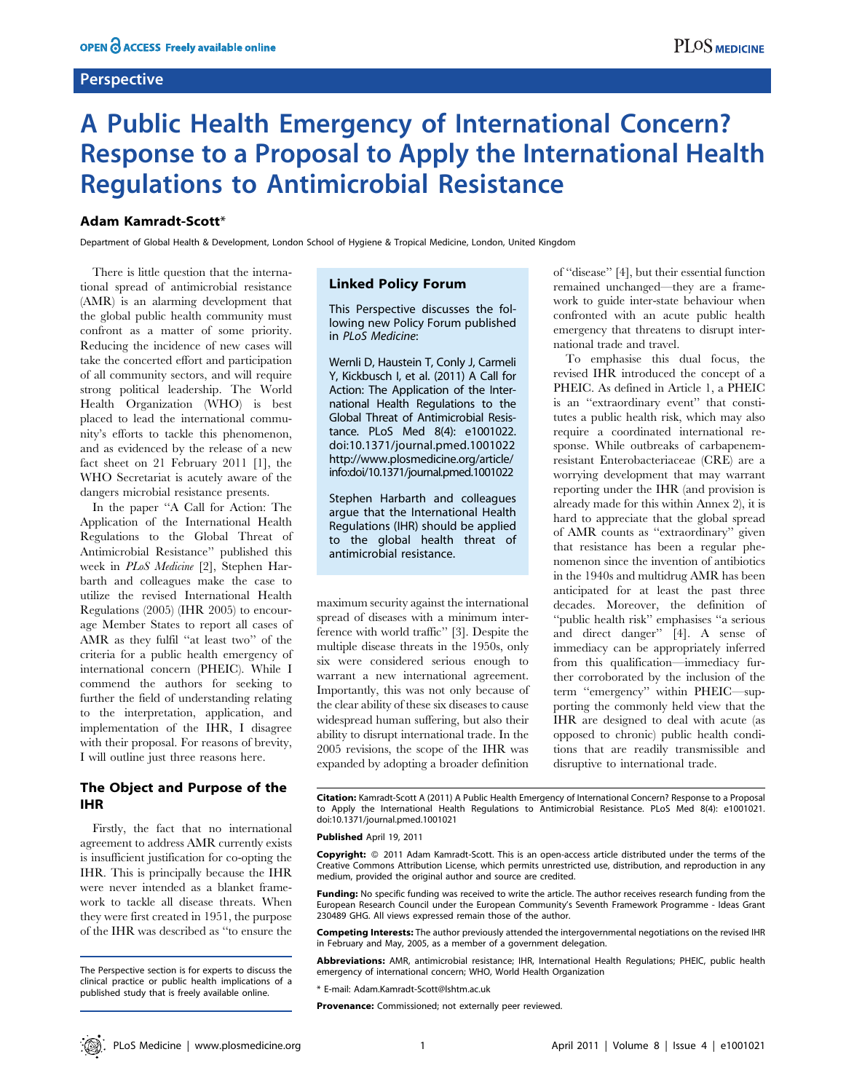## **Perspective**

# A Public Health Emergency of International Concern? Response to a Proposal to Apply the International Health Regulations to Antimicrobial Resistance

## Adam Kamradt-Scott\*

Department of Global Health & Development, London School of Hygiene & Tropical Medicine, London, United Kingdom

There is little question that the international spread of antimicrobial resistance (AMR) is an alarming development that the global public health community must confront as a matter of some priority. Reducing the incidence of new cases will take the concerted effort and participation of all community sectors, and will require strong political leadership. The World Health Organization (WHO) is best placed to lead the international community's efforts to tackle this phenomenon, and as evidenced by the release of a new fact sheet on 21 February 2011 [1], the WHO Secretariat is acutely aware of the dangers microbial resistance presents.

In the paper ''A Call for Action: The Application of the International Health Regulations to the Global Threat of Antimicrobial Resistance'' published this week in PLoS Medicine [2], Stephen Harbarth and colleagues make the case to utilize the revised International Health Regulations (2005) (IHR 2005) to encourage Member States to report all cases of AMR as they fulfil ''at least two'' of the criteria for a public health emergency of international concern (PHEIC). While I commend the authors for seeking to further the field of understanding relating to the interpretation, application, and implementation of the IHR, I disagree with their proposal. For reasons of brevity, I will outline just three reasons here.

# The Object and Purpose of the IHR

Firstly, the fact that no international agreement to address AMR currently exists is insufficient justification for co-opting the IHR. This is principally because the IHR were never intended as a blanket framework to tackle all disease threats. When they were first created in 1951, the purpose of the IHR was described as ''to ensure the

## Linked Policy Forum

This Perspective discusses the following new Policy Forum published in PLoS Medicine:

Wernli D, Haustein T, Conly J, Carmeli Y, Kickbusch I, et al. (2011) A Call for Action: The Application of the International Health Regulations to the Global Threat of Antimicrobial Resistance. PLoS Med 8(4): e1001022. doi:10.1371/journal.pmed.1001022 http://www.plosmedicine.org/article/ info:doi/10.1371/journal.pmed.1001022

Stephen Harbarth and colleagues argue that the International Health Regulations (IHR) should be applied to the global health threat of antimicrobial resistance.

maximum security against the international spread of diseases with a minimum interference with world traffic'' [3]. Despite the multiple disease threats in the 1950s, only six were considered serious enough to warrant a new international agreement. Importantly, this was not only because of the clear ability of these six diseases to cause widespread human suffering, but also their ability to disrupt international trade. In the 2005 revisions, the scope of the IHR was expanded by adopting a broader definition of ''disease'' [4], but their essential function remained unchanged—they are a framework to guide inter-state behaviour when confronted with an acute public health emergency that threatens to disrupt international trade and travel.

To emphasise this dual focus, the revised IHR introduced the concept of a PHEIC. As defined in Article 1, a PHEIC is an ''extraordinary event'' that constitutes a public health risk, which may also require a coordinated international response. While outbreaks of carbapenemresistant Enterobacteriaceae (CRE) are a worrying development that may warrant reporting under the IHR (and provision is already made for this within Annex 2), it is hard to appreciate that the global spread of AMR counts as ''extraordinary'' given that resistance has been a regular phenomenon since the invention of antibiotics in the 1940s and multidrug AMR has been anticipated for at least the past three decades. Moreover, the definition of ''public health risk'' emphasises ''a serious and direct danger'' [4]. A sense of immediacy can be appropriately inferred from this qualification—immediacy further corroborated by the inclusion of the term "emergency" within PHEIC—supporting the commonly held view that the IHR are designed to deal with acute (as opposed to chronic) public health conditions that are readily transmissible and disruptive to international trade.

Citation: Kamradt-Scott A (2011) A Public Health Emergency of International Concern? Response to a Proposal to Apply the International Health Regulations to Antimicrobial Resistance. PLoS Med 8(4): e1001021. doi:10.1371/journal.pmed.1001021

#### Published April 19, 2011

Copyright: © 2011 Adam Kamradt-Scott. This is an open-access article distributed under the terms of the Creative Commons Attribution License, which permits unrestricted use, distribution, and reproduction in any medium, provided the original author and source are credited.

Funding: No specific funding was received to write the article. The author receives research funding from the European Research Council under the European Community's Seventh Framework Programme - Ideas Grant 230489 GHG. All views expressed remain those of the author.

Competing Interests: The author previously attended the intergovernmental negotiations on the revised IHR in February and May, 2005, as a member of a government delegation.

Abbreviations: AMR, antimicrobial resistance; IHR, International Health Regulations; PHEIC, public health emergency of international concern; WHO, World Health Organization

\* E-mail: Adam.Kamradt-Scott@lshtm.ac.uk

Provenance: Commissioned; not externally peer reviewed.

The Perspective section is for experts to discuss the clinical practice or public health implications of a published study that is freely available online.